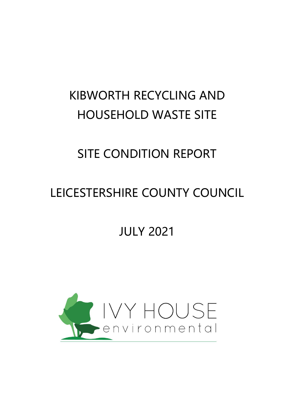# KIBWORTH RECYCLING AND HOUSEHOLD WASTE SITE

## SITE CONDITION REPORT

# LEICESTERSHIRE COUNTY COUNCIL

JULY 2021

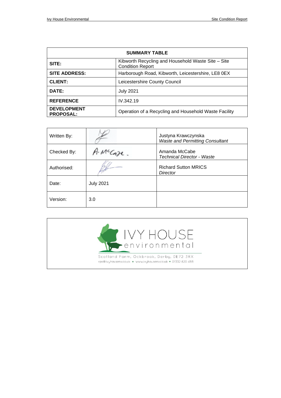| <b>SUMMARY TABLE</b>                   |                                                                               |  |
|----------------------------------------|-------------------------------------------------------------------------------|--|
| SITE:                                  | Kibworth Recycling and Household Waste Site – Site<br><b>Condition Report</b> |  |
| <b>SITE ADDRESS:</b>                   | Harborough Road, Kibworth, Leicestershire, LE8 0EX                            |  |
| <b>CLIENT:</b>                         | Leicestershire County Council                                                 |  |
| DATE:                                  | <b>July 2021</b>                                                              |  |
| <b>REFERENCE</b>                       | IV.342.19                                                                     |  |
| <b>DEVELOPMENT</b><br><b>PROPOSAL:</b> | Operation of a Recycling and Household Waste Facility                         |  |

| Written By: |                  | Justyna Krawczynska<br><b>Waste and Permitting Consultant</b> |
|-------------|------------------|---------------------------------------------------------------|
| Checked By: | A. McCaze.       | Amanda McCabe<br>Technical Director - Waste                   |
| Authorised: |                  | <b>Richard Sutton MRICS</b><br>Director                       |
| Date:       | <b>July 2021</b> |                                                               |
| Version:    | 3.0              |                                                               |

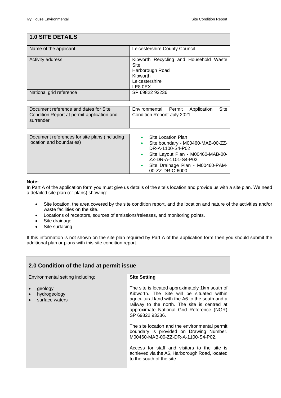| <b>1.0 SITE DETAILS</b>                                                                          |                                                                                                                                                           |
|--------------------------------------------------------------------------------------------------|-----------------------------------------------------------------------------------------------------------------------------------------------------------|
| Name of the applicant                                                                            | Leicestershire County Council                                                                                                                             |
| Activity address                                                                                 | Kibworth Recycling and Household Waste<br>Site<br>Harborough Road<br>Kibworth<br>Leicestershire<br>LE8 0EX                                                |
| National grid reference                                                                          | SP 69822 93236                                                                                                                                            |
|                                                                                                  |                                                                                                                                                           |
| Document reference and dates for Site<br>Condition Report at permit application and<br>surrender | Site<br>Environmental<br>Permit<br>Application<br>Condition Report: July 2021                                                                             |
|                                                                                                  |                                                                                                                                                           |
| Document references for site plans (including<br>location and boundaries)                        | Site Location Plan<br>$\bullet$<br>Site boundary - M00460-MAB-00-ZZ-<br>DR-A-1100-S4-P02<br>Site Layout Plan - M00460-MAB-00-<br>۰<br>ZZ-DR-A-1101-S4-P02 |

#### **Note:**

In Part A of the application form you must give us details of the site's location and provide us with a site plan. We need a detailed site plan (or plans) showing:

• Site location, the area covered by the site condition report, and the location and nature of the activities and/or waste facilities on the site.

• Site Drainage Plan - M00460-PAM-

00-ZZ-DR-C-6000

- Locations of receptors, sources of emissions/releases, and monitoring points.
- Site drainage.
- Site surfacing.

If this information is not shown on the site plan required by Part A of the application form then you should submit the additional plan or plans with this site condition report.

| 2.0 Condition of the land at permit issue              |                                                                                                                                                                                                                                                                  |  |  |
|--------------------------------------------------------|------------------------------------------------------------------------------------------------------------------------------------------------------------------------------------------------------------------------------------------------------------------|--|--|
| Environmental setting including:                       | <b>Site Setting</b>                                                                                                                                                                                                                                              |  |  |
| geology<br>hydrogeology<br>$\bullet$<br>surface waters | The site is located approximately 1km south of<br>Kibworth. The Site will be situated within<br>agricultural land with the A6 to the south and a<br>railway to the north. The site is centred at<br>approximate National Grid Reference (NGR)<br>SP 69822 93236. |  |  |
|                                                        | The site location and the environmental permit<br>boundary is provided on Drawing Number.<br>M00460-MAB-00-ZZ-DR-A-1100-S4-P02.                                                                                                                                  |  |  |
|                                                        | Access for staff and visitors to the site is<br>achieved via the A6, Harborough Road, located<br>to the south of the site.                                                                                                                                       |  |  |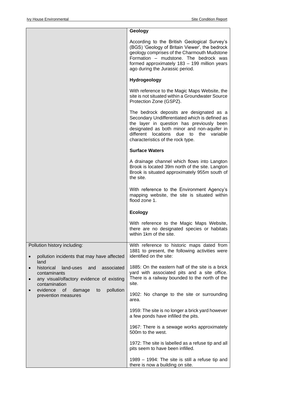|                                                                                                                                                              | Geology                                                                                                                                                                                                                                                                   |
|--------------------------------------------------------------------------------------------------------------------------------------------------------------|---------------------------------------------------------------------------------------------------------------------------------------------------------------------------------------------------------------------------------------------------------------------------|
|                                                                                                                                                              | According to the British Geological Survey's<br>(BGS) 'Geology of Britain Viewer', the bedrock<br>geology comprises of the Charmouth Mudstone<br>Formation - mudstone. The bedrock was<br>formed approximately 183 - 199 million years<br>ago during the Jurassic period. |
|                                                                                                                                                              | Hydrogeology                                                                                                                                                                                                                                                              |
|                                                                                                                                                              | With reference to the Magic Maps Website, the<br>site is not situated within a Groundwater Source<br>Protection Zone (GSPZ).                                                                                                                                              |
|                                                                                                                                                              | The bedrock deposits are designated as a<br>Secondary Undifferentiated which is defined as<br>the layer in question has previously been<br>designated as both minor and non-aquifer in<br>different locations due to the variable<br>characteristics of the rock type.    |
|                                                                                                                                                              | <b>Surface Waters</b>                                                                                                                                                                                                                                                     |
|                                                                                                                                                              | A drainage channel which flows into Langton<br>Brook is located 39m north of the site. Langton<br>Brook is situated approximately 955m south of<br>the site.                                                                                                              |
|                                                                                                                                                              | With reference to the Environment Agency's<br>mapping website, the site is situated within<br>flood zone 1.                                                                                                                                                               |
|                                                                                                                                                              | <b>Ecology</b>                                                                                                                                                                                                                                                            |
|                                                                                                                                                              | With reference to the Magic Maps Website,<br>there are no designated species or habitats<br>within 1km of the site.                                                                                                                                                       |
| Pollution history including:<br>pollution incidents that may have affected                                                                                   | With reference to historic maps dated from<br>1881 to present, the following activities were<br>identified on the site:                                                                                                                                                   |
| land<br>historical<br>land-uses<br>associated<br>and<br>$\bullet$<br>contaminants<br>any visual/olfactory evidence of existing<br>$\bullet$<br>contamination | 1885: On the eastern half of the site is a brick<br>yard with associated pits and a site office.<br>There is a railway bounded to the north of the<br>site.                                                                                                               |
| evidence<br><b>of</b><br>pollution<br>damage<br>to<br>$\bullet$<br>prevention measures                                                                       | 1902: No change to the site or surrounding<br>area.                                                                                                                                                                                                                       |
|                                                                                                                                                              | 1959: The site is no longer a brick yard however<br>a few ponds have infilled the pits.                                                                                                                                                                                   |
|                                                                                                                                                              | 1967: There is a sewage works approximately<br>500m to the west.                                                                                                                                                                                                          |
|                                                                                                                                                              | 1972: The site is labelled as a refuse tip and all<br>pits seem to have been infilled.                                                                                                                                                                                    |
|                                                                                                                                                              | 1989 – 1994: The site is still a refuse tip and<br>there is now a building on site.                                                                                                                                                                                       |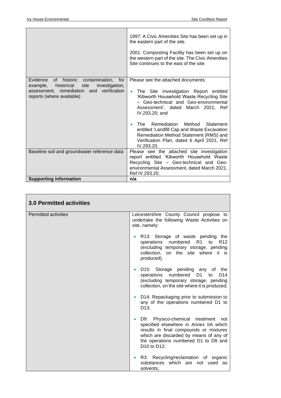|                                                                                                                                                                                  | 1997: A Civic Amenities Site has been set up in<br>the eastern part of the site.<br>2001: Composting Facility has been set up on<br>the western part of the site. The Civic Amenities<br>Site continues to the east of the site.                                                                                                                                                                                                      |
|----------------------------------------------------------------------------------------------------------------------------------------------------------------------------------|---------------------------------------------------------------------------------------------------------------------------------------------------------------------------------------------------------------------------------------------------------------------------------------------------------------------------------------------------------------------------------------------------------------------------------------|
| Evidence<br>of<br>historic<br>contamination,<br>for<br>site<br>investigation,<br>example,<br>historical<br>assessment, remediation and verification<br>reports (where available) | Please see the attached documents:<br>The Site Investigation Report entitled<br>$\bullet$<br>'Kibworth Household Waste Recycling Site<br>- Geo-technical and Geo-environmental<br>Assessment', dated March 2021, Ref<br>IV.293.20; and<br>Remediation Method<br>The<br>Statement<br>entitled 'Landfill Cap and Waste Excavation<br>Remediation Method Statement (RMS) and<br>Verification Plan, dated 6 April 2021, Ref<br>IV.293.20. |
| Baseline soil and groundwater reference data                                                                                                                                     | Please see the attached site investigation<br>report entitled 'Kibworth Household Waste<br>Recycling Site - Geo-technical and Geo-<br>environmental Assessment, dated March 2021,<br>Ref IV.293.20.                                                                                                                                                                                                                                   |
| <b>Supporting information</b>                                                                                                                                                    | n/a                                                                                                                                                                                                                                                                                                                                                                                                                                   |

| <b>3.0 Permitted activities</b> |                                                                                                                                                                                                                                                        |  |  |
|---------------------------------|--------------------------------------------------------------------------------------------------------------------------------------------------------------------------------------------------------------------------------------------------------|--|--|
| <b>Permitted activities</b>     | Leicestershire County Council propose to<br>undertake the following Waste Activities on<br>site, namely:                                                                                                                                               |  |  |
|                                 | R13: Storage of waste pending the<br>operations numbered<br>R <sub>1</sub><br>to<br>R <sub>12</sub><br>(excluding temporary storage, pending<br>collection, on the site where it is<br>produced).                                                      |  |  |
|                                 | D15: Storage pending any of<br>the<br>numbered<br>D <sub>1</sub><br>operations<br>D <sub>14</sub><br>to<br>(excluding temporary storage, pending<br>collection, on the site where it is produced;                                                      |  |  |
|                                 | D14: Repackaging prior to submission to<br>any of the operations numbered D1 to<br>D <sub>13</sub> :                                                                                                                                                   |  |  |
|                                 | Physico-chemical treatment<br>D9:<br>not<br>specified elsewhere in Annex IIA which<br>results in final compounds or mixtures<br>which are discarded by means of any of<br>the operations numbered D1 to D8 and<br>D <sub>10</sub> to D <sub>12</sub> ; |  |  |
|                                 | R3: Recycling/reclamation of organic<br>substances which are not used as<br>solvents;                                                                                                                                                                  |  |  |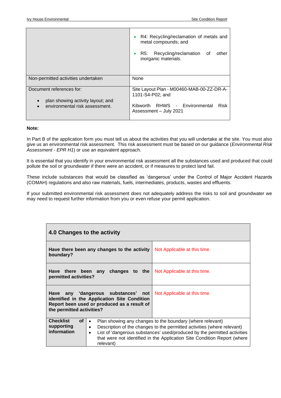|                                                                            | R4: Recycling/reclamation of metals and<br>metal compounds; and<br>• R5: Recycling/reclamation of<br>other<br>inorganic materials. |
|----------------------------------------------------------------------------|------------------------------------------------------------------------------------------------------------------------------------|
| Non-permitted activities undertaken                                        | None                                                                                                                               |
| Document references for:<br>plan showing activity layout; and<br>$\bullet$ | Site Layout Plan - M00460-MAB-00-ZZ-DR-A-<br>1101-S4-P02; and                                                                      |
| environmental risk assessment.<br>$\bullet$                                | Kibworth RHWS - Environmental<br><b>Risk</b><br>Assessment - July 2021                                                             |

#### **Note:**

In Part B of the application form you must tell us about the activities that you will undertake at the site. You must also give us an environmental risk assessment. This risk assessment must be based on our guidance (*Environmental Risk Assessment - EPR H1*) or use an equivalent approach.

It is essential that you identify in your environmental risk assessment all the substances used and produced that could pollute the soil or groundwater if there were an accident, or if measures to protect land fail.

These include substances that would be classified as 'dangerous' under the Control of Major Accident Hazards (COMAH) regulations and also raw materials, fuels, intermediates, products, wastes and effluents.

If your submitted environmental risk assessment does not adequately address the risks to soil and groundwater we may need to request further information from you or even refuse your permit application.

| 4.0 Changes to the activity                                                                                                                                     |                                                                                                                                                                                                                                                                                              |  |
|-----------------------------------------------------------------------------------------------------------------------------------------------------------------|----------------------------------------------------------------------------------------------------------------------------------------------------------------------------------------------------------------------------------------------------------------------------------------------|--|
| Have there been any changes to the activity<br>boundary?                                                                                                        | Not Applicable at this time.                                                                                                                                                                                                                                                                 |  |
| Have there been any changes to the<br>permitted activities?                                                                                                     | Not Applicable at this time.                                                                                                                                                                                                                                                                 |  |
| Have any 'dangerous substances' not<br>identified in the Application Site Condition<br>Report been used or produced as a result of<br>the permitted activities? | Not Applicable at this time.                                                                                                                                                                                                                                                                 |  |
| <b>Checklist</b><br>0f<br>$\bullet$<br>supporting<br>$\bullet$<br>information<br>$\bullet$<br>relevant)                                                         | Plan showing any changes to the boundary (where relevant)<br>Description of the changes to the permitted activities (where relevant)<br>List of 'dangerous substances' used/produced by the permitted activities<br>that were not identified in the Application Site Condition Report (where |  |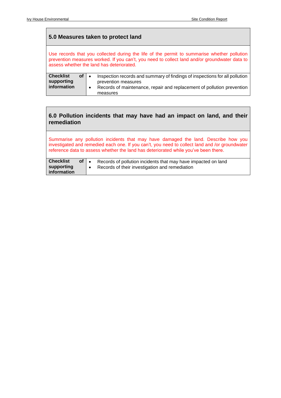$\blacksquare$ 

| 5.0 Measures taken to protect land                  |                                                                                                                                                                                                                                           |  |
|-----------------------------------------------------|-------------------------------------------------------------------------------------------------------------------------------------------------------------------------------------------------------------------------------------------|--|
|                                                     | Use records that you collected during the life of the permit to summarise whether pollution<br>prevention measures worked. If you can't, you need to collect land and/or groundwater data to<br>assess whether the land has deteriorated. |  |
| <b>Checklist</b><br>Οf<br>supporting<br>information | Inspection records and summary of findings of inspections for all pollution<br>prevention measures<br>Records of maintenance, repair and replacement of pollution prevention<br>٠<br>measures                                             |  |

### **6.0 Pollution incidents that may have had an impact on land, and their remediation**

Summarise any pollution incidents that may have damaged the land. Describe how you investigated and remedied each one. If you can't, you need to collect land and /or groundwater reference data to assess whether the land has deteriorated while you've been there.

| <b>Checklist</b>          | of $\cdot$ | Records of pollution incidents that may have impacted on land |
|---------------------------|------------|---------------------------------------------------------------|
| supporting<br>information |            | Records of their investigation and remediation                |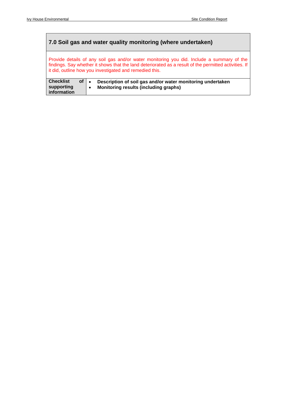### **7.0 Soil gas and water quality monitoring (where undertaken)**

Provide details of any soil gas and/or water monitoring you did. Include a summary of the findings. Say whether it shows that the land deteriorated as a result of the permitted activities. If it did, outline how you investigated and remedied this.

| <b>Checklist</b><br>supporting | $of \, \bullet$ | Description of soil gas and/or water monitoring undertaken<br>Monitoring results (including graphs) |
|--------------------------------|-----------------|-----------------------------------------------------------------------------------------------------|
| information                    |                 |                                                                                                     |